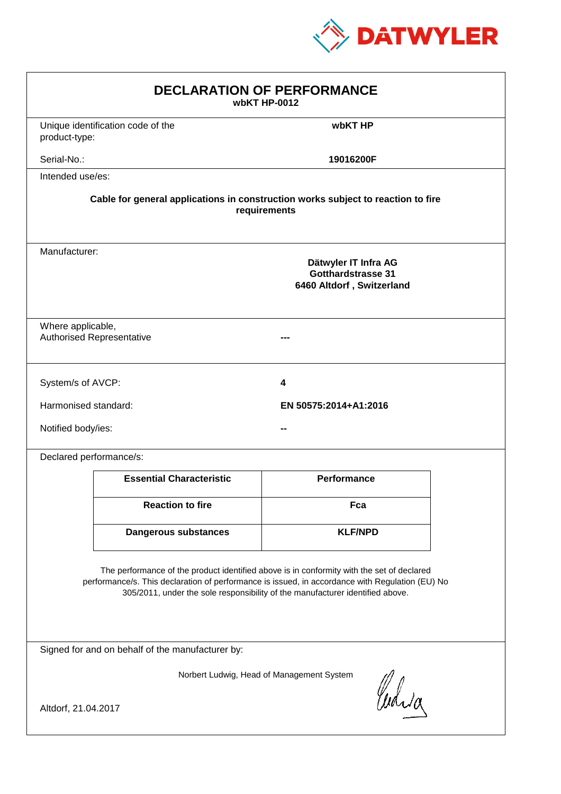

| <b>DECLARATION OF PERFORMANCE</b><br>wbKT HP-0012                                                                                                                                                                                                                             |                                                                                          |                       |  |  |
|-------------------------------------------------------------------------------------------------------------------------------------------------------------------------------------------------------------------------------------------------------------------------------|------------------------------------------------------------------------------------------|-----------------------|--|--|
| product-type:                                                                                                                                                                                                                                                                 | Unique identification code of the                                                        | wbKT HP               |  |  |
| Serial-No.:                                                                                                                                                                                                                                                                   |                                                                                          | 19016200F             |  |  |
| Intended use/es:                                                                                                                                                                                                                                                              |                                                                                          |                       |  |  |
| Cable for general applications in construction works subject to reaction to fire<br>requirements                                                                                                                                                                              |                                                                                          |                       |  |  |
|                                                                                                                                                                                                                                                                               | Manufacturer:<br>Dätwyler IT Infra AG<br>Gotthardstrasse 31<br>6460 Altdorf, Switzerland |                       |  |  |
|                                                                                                                                                                                                                                                                               | Where applicable,<br><b>Authorised Representative</b>                                    |                       |  |  |
| System/s of AVCP:                                                                                                                                                                                                                                                             |                                                                                          | 4                     |  |  |
| Harmonised standard:                                                                                                                                                                                                                                                          |                                                                                          | EN 50575:2014+A1:2016 |  |  |
| Notified body/ies:                                                                                                                                                                                                                                                            |                                                                                          |                       |  |  |
| Declared performance/s:                                                                                                                                                                                                                                                       |                                                                                          |                       |  |  |
|                                                                                                                                                                                                                                                                               | <b>Essential Characteristic</b>                                                          | <b>Performance</b>    |  |  |
|                                                                                                                                                                                                                                                                               | <b>Reaction to fire</b>                                                                  | Fca                   |  |  |
|                                                                                                                                                                                                                                                                               | <b>Dangerous substances</b>                                                              | <b>KLF/NPD</b>        |  |  |
| The performance of the product identified above is in conformity with the set of declared<br>performance/s. This declaration of performance is issued, in accordance with Regulation (EU) No<br>305/2011, under the sole responsibility of the manufacturer identified above. |                                                                                          |                       |  |  |
| Signed for and on behalf of the manufacturer by:                                                                                                                                                                                                                              |                                                                                          |                       |  |  |
| Norbert Ludwig, Head of Management System<br>Curia                                                                                                                                                                                                                            |                                                                                          |                       |  |  |
| Altdorf, 21.04.2017                                                                                                                                                                                                                                                           |                                                                                          |                       |  |  |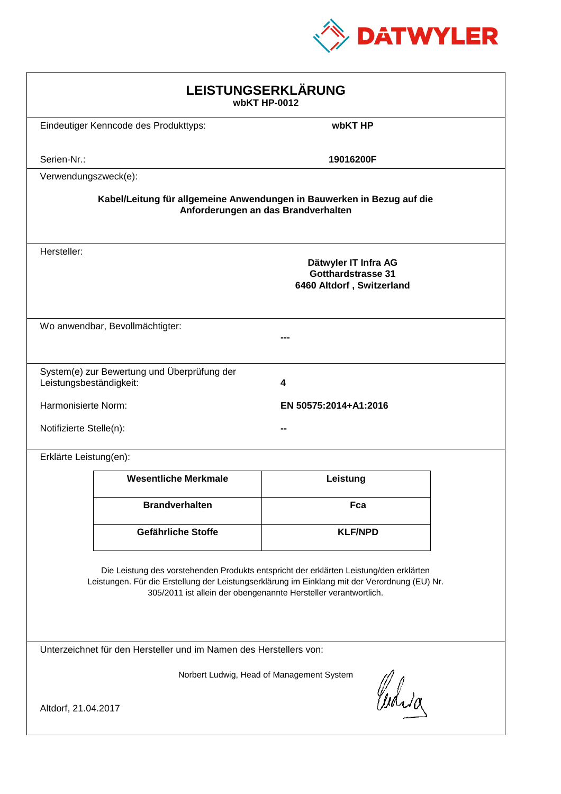

| LEISTUNGSERKLÄRUNG<br>wbKT HP-0012                                                                                                                                                                                                                         |                                                                             |                |  |  |
|------------------------------------------------------------------------------------------------------------------------------------------------------------------------------------------------------------------------------------------------------------|-----------------------------------------------------------------------------|----------------|--|--|
| wbKT HP<br>Eindeutiger Kenncode des Produkttyps:                                                                                                                                                                                                           |                                                                             |                |  |  |
| Serien-Nr.:                                                                                                                                                                                                                                                |                                                                             | 19016200F      |  |  |
| Verwendungszweck(e):                                                                                                                                                                                                                                       |                                                                             |                |  |  |
| Kabel/Leitung für allgemeine Anwendungen in Bauwerken in Bezug auf die<br>Anforderungen an das Brandverhalten                                                                                                                                              |                                                                             |                |  |  |
| Hersteller:<br>Dätwyler IT Infra AG<br><b>Gotthardstrasse 31</b><br>6460 Altdorf, Switzerland                                                                                                                                                              |                                                                             |                |  |  |
|                                                                                                                                                                                                                                                            | Wo anwendbar, Bevollmächtigter:                                             |                |  |  |
|                                                                                                                                                                                                                                                            | System(e) zur Bewertung und Überprüfung der<br>Leistungsbeständigkeit:<br>4 |                |  |  |
|                                                                                                                                                                                                                                                            | Harmonisierte Norm:<br>EN 50575:2014+A1:2016                                |                |  |  |
|                                                                                                                                                                                                                                                            | Notifizierte Stelle(n):                                                     |                |  |  |
| Erklärte Leistung(en):                                                                                                                                                                                                                                     |                                                                             |                |  |  |
|                                                                                                                                                                                                                                                            | <b>Wesentliche Merkmale</b>                                                 | Leistung       |  |  |
|                                                                                                                                                                                                                                                            | <b>Brandverhalten</b>                                                       | Fca            |  |  |
|                                                                                                                                                                                                                                                            | Gefährliche Stoffe                                                          | <b>KLF/NPD</b> |  |  |
| Die Leistung des vorstehenden Produkts entspricht der erklärten Leistung/den erklärten<br>Leistungen. Für die Erstellung der Leistungserklärung im Einklang mit der Verordnung (EU) Nr.<br>305/2011 ist allein der obengenannte Hersteller verantwortlich. |                                                                             |                |  |  |
| Unterzeichnet für den Hersteller und im Namen des Herstellers von:                                                                                                                                                                                         |                                                                             |                |  |  |
| Norbert Ludwig, Head of Management System                                                                                                                                                                                                                  |                                                                             |                |  |  |
| Curica<br>Altdorf, 21.04.2017                                                                                                                                                                                                                              |                                                                             |                |  |  |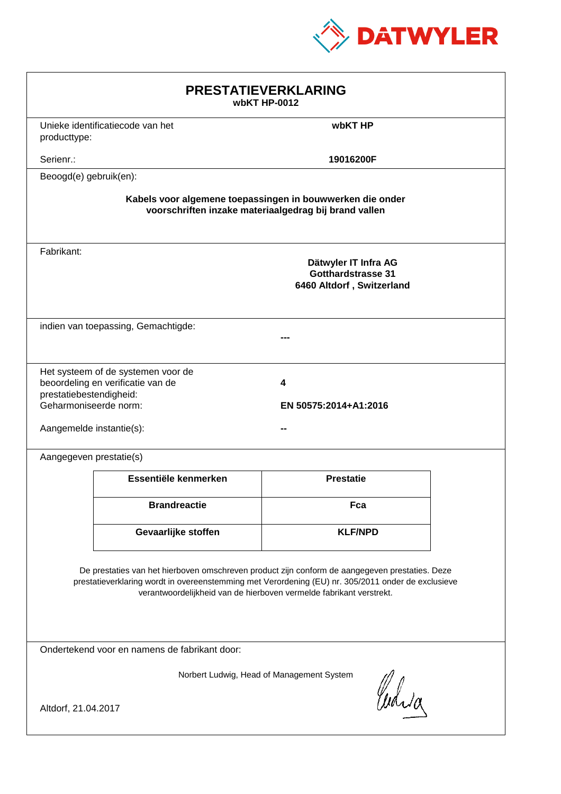

| <b>PRESTATIEVERKLARING</b><br>wbKT HP-0012                                                                                                                                                                                                                                  |                                     |                                                                         |  |  |
|-----------------------------------------------------------------------------------------------------------------------------------------------------------------------------------------------------------------------------------------------------------------------------|-------------------------------------|-------------------------------------------------------------------------|--|--|
| producttype:                                                                                                                                                                                                                                                                | Unieke identificatiecode van het    | wbKT HP                                                                 |  |  |
| Serienr.:                                                                                                                                                                                                                                                                   |                                     | 19016200F                                                               |  |  |
| Beoogd(e) gebruik(en):                                                                                                                                                                                                                                                      |                                     |                                                                         |  |  |
| Kabels voor algemene toepassingen in bouwwerken die onder<br>voorschriften inzake materiaalgedrag bij brand vallen                                                                                                                                                          |                                     |                                                                         |  |  |
| Fabrikant:                                                                                                                                                                                                                                                                  |                                     | Dätwyler IT Infra AG<br>Gotthardstrasse 31<br>6460 Altdorf, Switzerland |  |  |
|                                                                                                                                                                                                                                                                             | indien van toepassing, Gemachtigde: |                                                                         |  |  |
| Het systeem of de systemen voor de<br>beoordeling en verificatie van de<br>4<br>prestatiebestendigheid:<br>Geharmoniseerde norm:<br>EN 50575:2014+A1:2016<br>Aangemelde instantie(s):                                                                                       |                                     |                                                                         |  |  |
| Aangegeven prestatie(s)                                                                                                                                                                                                                                                     |                                     |                                                                         |  |  |
|                                                                                                                                                                                                                                                                             | Essentiële kenmerken                | <b>Prestatie</b>                                                        |  |  |
|                                                                                                                                                                                                                                                                             | <b>Brandreactie</b>                 | Fca                                                                     |  |  |
|                                                                                                                                                                                                                                                                             | Gevaarlijke stoffen                 | <b>KLF/NPD</b>                                                          |  |  |
| De prestaties van het hierboven omschreven product zijn conform de aangegeven prestaties. Deze<br>prestatieverklaring wordt in overeenstemming met Verordening (EU) nr. 305/2011 onder de exclusieve<br>verantwoordelijkheid van de hierboven vermelde fabrikant verstrekt. |                                     |                                                                         |  |  |
| Ondertekend voor en namens de fabrikant door:                                                                                                                                                                                                                               |                                     |                                                                         |  |  |
| Norbert Ludwig, Head of Management System<br>Curia<br>Altdorf, 21.04.2017                                                                                                                                                                                                   |                                     |                                                                         |  |  |
|                                                                                                                                                                                                                                                                             |                                     |                                                                         |  |  |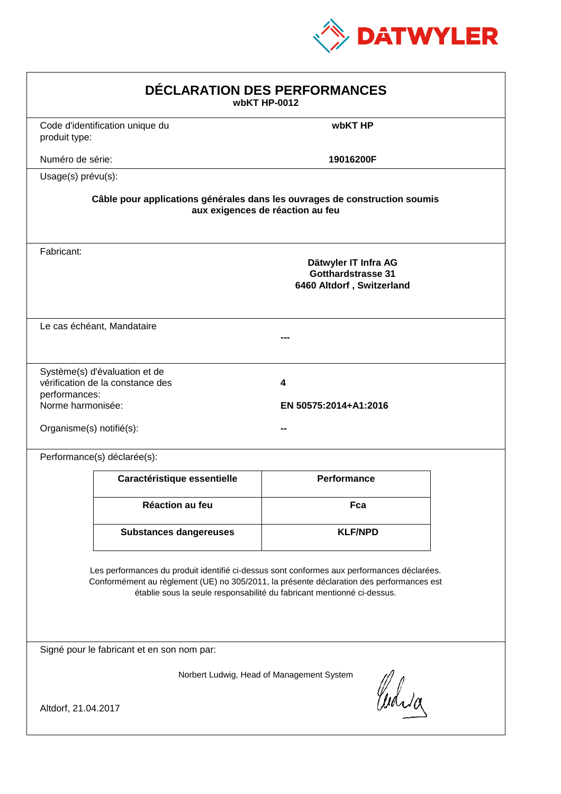

| DÉCLARATION DES PERFORMANCES<br>wbKT HP-0012                   |                                                                   |                                                                                                                                                                                                                                                                  |  |
|----------------------------------------------------------------|-------------------------------------------------------------------|------------------------------------------------------------------------------------------------------------------------------------------------------------------------------------------------------------------------------------------------------------------|--|
| produit type:                                                  | Code d'identification unique du                                   | wbKT HP                                                                                                                                                                                                                                                          |  |
| Numéro de série:                                               |                                                                   | 19016200F                                                                                                                                                                                                                                                        |  |
| Usage(s) prévu(s):                                             |                                                                   |                                                                                                                                                                                                                                                                  |  |
|                                                                |                                                                   | Câble pour applications générales dans les ouvrages de construction soumis<br>aux exigences de réaction au feu                                                                                                                                                   |  |
| Fabricant:                                                     |                                                                   | Dätwyler IT Infra AG<br><b>Gotthardstrasse 31</b><br>6460 Altdorf, Switzerland                                                                                                                                                                                   |  |
|                                                                | Le cas échéant, Mandataire                                        |                                                                                                                                                                                                                                                                  |  |
| performances:<br>Norme harmonisée:<br>Organisme(s) notifié(s): | Système(s) d'évaluation et de<br>vérification de la constance des | 4<br>EN 50575:2014+A1:2016                                                                                                                                                                                                                                       |  |
|                                                                | Performance(s) déclarée(s):                                       |                                                                                                                                                                                                                                                                  |  |
|                                                                | Caractéristique essentielle                                       | <b>Performance</b>                                                                                                                                                                                                                                               |  |
|                                                                | <b>Réaction au feu</b>                                            | Fca                                                                                                                                                                                                                                                              |  |
|                                                                | <b>Substances dangereuses</b>                                     | <b>KLF/NPD</b>                                                                                                                                                                                                                                                   |  |
|                                                                |                                                                   | Les performances du produit identifié ci-dessus sont conformes aux performances déclarées.<br>Conformément au règlement (UE) no 305/2011, la présente déclaration des performances est<br>établie sous la seule responsabilité du fabricant mentionné ci-dessus. |  |
|                                                                | Signé pour le fabricant et en son nom par:                        |                                                                                                                                                                                                                                                                  |  |
| Altdorf, 21.04.2017                                            |                                                                   | Norbert Ludwig, Head of Management System<br>Curia                                                                                                                                                                                                               |  |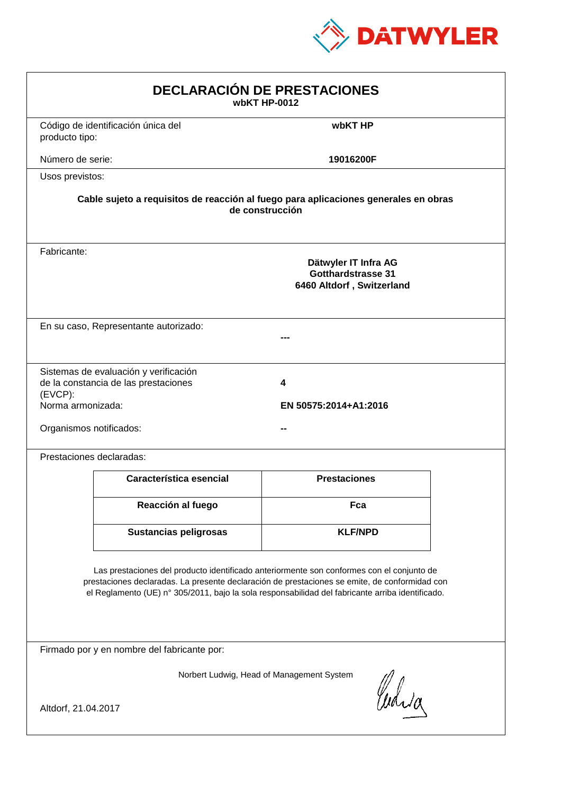

| <b>DECLARACIÓN DE PRESTACIONES</b><br>wbKT HP-0012                                                                                                                                                                                                                                             |                                                                                                        |                            |  |  |  |
|------------------------------------------------------------------------------------------------------------------------------------------------------------------------------------------------------------------------------------------------------------------------------------------------|--------------------------------------------------------------------------------------------------------|----------------------------|--|--|--|
| producto tipo:                                                                                                                                                                                                                                                                                 | Código de identificación única del                                                                     | wbKT HP                    |  |  |  |
| Número de serie:                                                                                                                                                                                                                                                                               |                                                                                                        | 19016200F                  |  |  |  |
| Usos previstos:                                                                                                                                                                                                                                                                                |                                                                                                        |                            |  |  |  |
|                                                                                                                                                                                                                                                                                                | Cable sujeto a requisitos de reacción al fuego para aplicaciones generales en obras<br>de construcción |                            |  |  |  |
| Fabricante:                                                                                                                                                                                                                                                                                    | Dätwyler IT Infra AG<br><b>Gotthardstrasse 31</b><br>6460 Altdorf, Switzerland                         |                            |  |  |  |
|                                                                                                                                                                                                                                                                                                | En su caso, Representante autorizado:                                                                  |                            |  |  |  |
| (EVCP):<br>Norma armonizada:<br>Organismos notificados:                                                                                                                                                                                                                                        | Sistemas de evaluación y verificación<br>de la constancia de las prestaciones                          | 4<br>EN 50575:2014+A1:2016 |  |  |  |
|                                                                                                                                                                                                                                                                                                | Prestaciones declaradas:                                                                               |                            |  |  |  |
|                                                                                                                                                                                                                                                                                                | Característica esencial                                                                                | <b>Prestaciones</b>        |  |  |  |
|                                                                                                                                                                                                                                                                                                | Reacción al fuego                                                                                      | Fca                        |  |  |  |
|                                                                                                                                                                                                                                                                                                | <b>Sustancias peligrosas</b>                                                                           | <b>KLF/NPD</b>             |  |  |  |
| Las prestaciones del producto identificado anteriormente son conformes con el conjunto de<br>prestaciones declaradas. La presente declaración de prestaciones se emite, de conformidad con<br>el Reglamento (UE) nº 305/2011, bajo la sola responsabilidad del fabricante arriba identificado. |                                                                                                        |                            |  |  |  |
|                                                                                                                                                                                                                                                                                                | Firmado por y en nombre del fabricante por:                                                            |                            |  |  |  |
| Norbert Ludwig, Head of Management System<br>Curia                                                                                                                                                                                                                                             |                                                                                                        |                            |  |  |  |
| Altdorf, 21.04.2017                                                                                                                                                                                                                                                                            |                                                                                                        |                            |  |  |  |